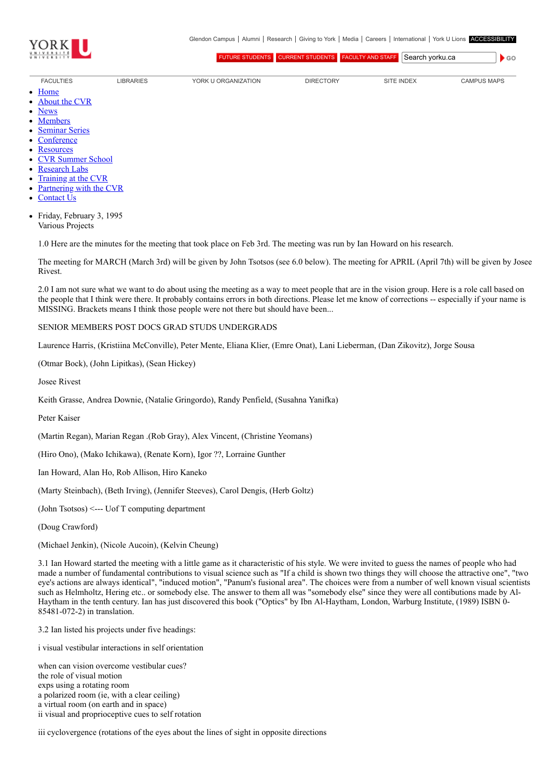

 $\bullet$  GO

[FUTURE STUDENTS](http://futurestudents.yorku.ca/) [CURRENT STUDENTS](http://www.yorku.ca/yorkweb/cs.htm) [FACULTY AND STAFF](http://www.yorku.ca/yorkweb/fs.htm) Search vorku.ca

- [FACULTIES](http://www.yorku.ca/yorkweb/faculties.htm) [LIBRARIES](http://www.library.yorku.ca/) [YORK U ORGANIZATION](http://www.yorku.ca/yorkweb/org.htm) [DIRECTORY](http://www.yorku.ca/yorkatlas) [SITE INDEX](http://www.yorku.ca/yorkweb/siteindex.htm) [CAMPUS MAPS](http://www.yorku.ca/yorkweb/maps/)
- $\bullet$ **[Home](file:///C:/)**
- [About the CVR](file:///C:/content/about-cvr)
- [News](file:///C:/newslatest)
- **[Members](file:///C:/category/faculty/york-faculty)**  $\bullet$
- $\bullet$ [Seminar Series](file:///C:/content/seminar-series)
- $\bullet$ **[Conference](file:///C:/conferencearchive)**
- **[Resources](file:///C:/content/resources)**  $\bullet$
- [CVR Summer School](http://cvrss.info.yorku.ca/)  $\bullet$
- [Research Labs](file:///C:/content/research-labs)
- [Training at the CVR](file:///C:/content/training-cvr-0)
- [Partnering with the CVR](file:///C:/content/partnering-cvr-0)  $\bullet$
- [Contact Us](file:///C:/content/contact-cvr)  $\bullet$
- Friday, February 3, 1995 Various Projects

1.0 Here are the minutes for the meeting that took place on Feb 3rd. The meeting was run by Ian Howard on his research.

The meeting for MARCH (March 3rd) will be given by John Tsotsos (see 6.0 below). The meeting for APRIL (April 7th) will be given by Josee Rivest.

2.0 I am not sure what we want to do about using the meeting as a way to meet people that are in the vision group. Here is a role call based on the people that I think were there. It probably contains errors in both directions. Please let me know of corrections -- especially if your name is MISSING. Brackets means I think those people were not there but should have been...

## SENIOR MEMBERS POST DOCS GRAD STUDS UNDERGRADS

Laurence Harris, (Kristiina McConville), Peter Mente, Eliana Klier, (Emre Onat), Lani Lieberman, (Dan Zikovitz), Jorge Sousa

(Otmar Bock), (John Lipitkas), (Sean Hickey)

Josee Rivest

Keith Grasse, Andrea Downie, (Natalie Gringordo), Randy Penfield, (Susahna Yanifka)

Peter Kaiser

(Martin Regan), Marian Regan .(Rob Gray), Alex Vincent, (Christine Yeomans)

(Hiro Ono), (Mako Ichikawa), (Renate Korn), Igor ??, Lorraine Gunther

Ian Howard, Alan Ho, Rob Allison, Hiro Kaneko

(Marty Steinbach), (Beth Irving), (Jennifer Steeves), Carol Dengis, (Herb Goltz)

(John Tsotsos) <--- Uof T computing department

(Doug Crawford)

(Michael Jenkin), (Nicole Aucoin), (Kelvin Cheung)

3.1 Ian Howard started the meeting with a little game as it characteristic of his style. We were invited to guess the names of people who had made a number of fundamental contributions to visual science such as "If a child is shown two things they will choose the attractive one", "two eye's actions are always identical", "induced motion", "Panum's fusional area". The choices were from a number of well known visual scientists such as Helmholtz, Hering etc.. or somebody else. The answer to them all was "somebody else" since they were all contibutions made by Al-Haytham in the tenth century. Ian has just discovered this book ("Optics" by Ibn Al-Haytham, London, Warburg Institute, (1989) ISBN 0- 85481-072-2) in translation.

3.2 Ian listed his projects under five headings:

i visual vestibular interactions in self orientation

when can vision overcome vestibular cues? the role of visual motion exps using a rotating room a polarized room (ie, with a clear ceiling) a virtual room (on earth and in space) ii visual and proprioceptive cues to self rotation

iii cyclovergence (rotations of the eyes about the lines of sight in opposite directions